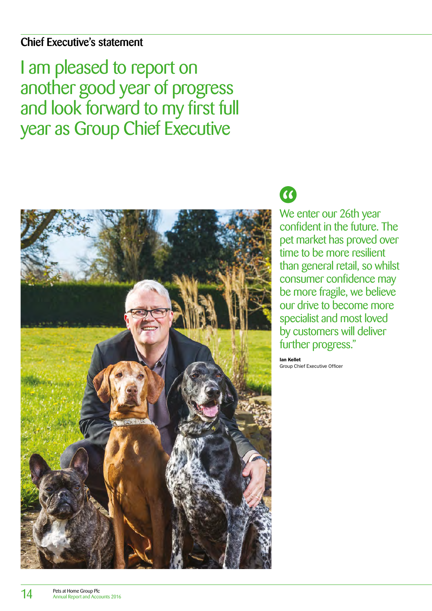## Chief Executive's statement

I am pleased to report on another good year of progress and look forward to my first full year as Group Chief Executive



# $\overline{\mathcal{C}}$

We enter our 26th year confident in the future. The pet market has proved over time to be more resilient than general retail, so whilst consumer confidence may be more fragile, we believe our drive to become more specialist and most loved by customers will deliver further progress."

Ian Kellet Group Chief Executive Officer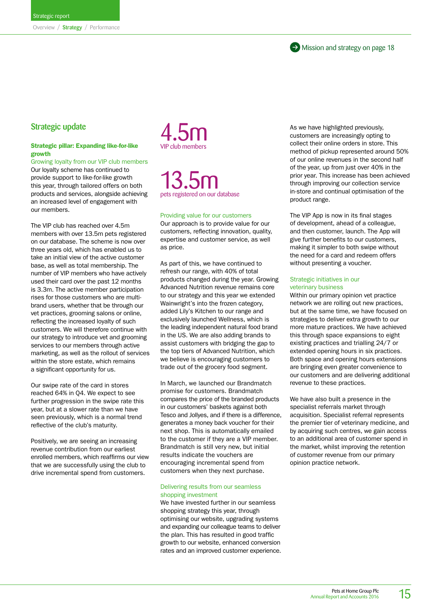### Strategic update

#### Strategic pillar: Expanding like-for-like growth

Growing loyalty from our VIP club members Our loyalty scheme has continued to provide support to like-for-like growth this year, through tailored offers on both products and services, alongside achieving an increased level of engagement with our members.

The VIP club has reached over 4.5m members with over 13.5m pets registered on our database. The scheme is now over three years old, which has enabled us to take an initial view of the active customer base, as well as total membership. The number of VIP members who have actively used their card over the past 12 months is 3.3m. The active member participation rises for those customers who are multibrand users, whether that be through our vet practices, grooming salons or online, reflecting the increased loyalty of such customers. We will therefore continue with our strategy to introduce vet and grooming services to our members through active marketing, as well as the rollout of services within the store estate, which remains a significant opportunity for us.

Our swipe rate of the card in stores reached 64% in Q4. We expect to see further progression in the swipe rate this year, but at a slower rate than we have seen previously, which is a normal trend reflective of the club's maturity.

Positively, we are seeing an increasing revenue contribution from our earliest enrolled members, which reaffirms our view that we are successfully using the club to drive incremental spend from customers.

4.5m

13.5m pets registered on our database

#### Providing value for our customers

Our approach is to provide value for our customers, reflecting innovation, quality, expertise and customer service, as well as price.

As part of this, we have continued to refresh our range, with 40% of total products changed during the year. Growing Advanced Nutrition revenue remains core to our strategy and this year we extended Wainwright's into the frozen category, added Lily's Kitchen to our range and exclusively launched Wellness, which is the leading independent natural food brand in the US. We are also adding brands to assist customers with bridging the gap to the top tiers of Advanced Nutrition, which we believe is encouraging customers to trade out of the grocery food segment.

In March, we launched our Brandmatch promise for customers. Brandmatch compares the price of the branded products in our customers' baskets against both Tesco and Jollyes, and if there is a difference, generates a money back voucher for their next shop. This is automatically emailed to the customer if they are a VIP member. Brandmatch is still very new, but initial results indicate the vouchers are encouraging incremental spend from customers when they next purchase.

#### Delivering results from our seamless shopping investment

We have invested further in our seamless shopping strategy this year, through optimising our website, upgrading systems and expanding our colleague teams to deliver the plan. This has resulted in good traffic growth to our website, enhanced conversion rates and an improved customer experience. As we have highlighted previously, customers are increasingly opting to collect their online orders in store. This method of pickup represented around 50% of our online revenues in the second half of the year, up from just over 40% in the prior year. This increase has been achieved through improving our collection service in-store and continual optimisation of the product range.

The VIP App is now in its final stages of development, ahead of a colleague, and then customer, launch. The App will give further benefits to our customers, making it simpler to both swipe without the need for a card and redeem offers without presenting a voucher.

#### Strategic initiatives in our veterinary business

Within our primary opinion vet practice network we are rolling out new practices, but at the same time, we have focused on strategies to deliver extra growth to our more mature practices. We have achieved this through space expansions to eight existing practices and trialling 24/7 or extended opening hours in six practices. Both space and opening hours extensions are bringing even greater convenience to our customers and are delivering additional revenue to these practices.

We have also built a presence in the specialist referrals market through acquisition. Specialist referral represents the premier tier of veterinary medicine, and by acquiring such centres, we gain access to an additional area of customer spend in the market, whilst improving the retention of customer revenue from our primary opinion practice network.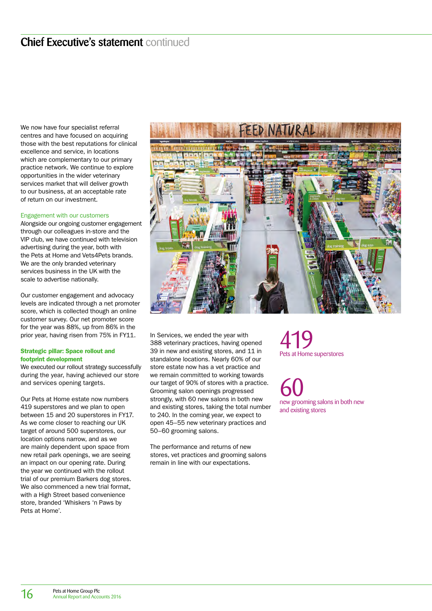We now have four specialist referral centres and have focused on acquiring those with the best reputations for clinical excellence and service, in locations which are complementary to our primary practice network. We continue to explore opportunities in the wider veterinary services market that will deliver growth to our business, at an acceptable rate of return on our investment.

#### Engagement with our customers

Alongside our ongoing customer engagement through our colleagues in-store and the VIP club, we have continued with television advertising during the year, both with the Pets at Home and Vets4Pets brands. We are the only branded veterinary services business in the UK with the scale to advertise nationally.

Our customer engagement and advocacy levels are indicated through a net promoter score, which is collected though an online customer survey. Our net promoter score for the year was 88%, up from 86% in the prior year, having risen from 75% in FY11.

#### Strategic pillar: Space rollout and footprint development

We executed our rollout strategy successfully during the year, having achieved our store and services opening targets.

Our Pets at Home estate now numbers 419 superstores and we plan to open between 15 and 20 superstores in FY17. As we come closer to reaching our UK target of around 500 superstores, our location options narrow, and as we are mainly dependent upon space from new retail park openings, we are seeing an impact on our opening rate. During the year we continued with the rollout trial of our premium Barkers dog stores. We also commenced a new trial format, with a High Street based convenience store, branded 'Whiskers 'n Paws by Pets at Home'.



In Services, we ended the year with 388 veterinary practices, having opened 39 in new and existing stores, and 11 in standalone locations. Nearly 60% of our store estate now has a vet practice and we remain committed to working towards our target of 90% of stores with a practice. Grooming salon openings progressed strongly, with 60 new salons in both new and existing stores, taking the total number to 240. In the coming year, we expect to open 45–55 new veterinary practices and 50–60 grooming salons.

The performance and returns of new stores, vet practices and grooming salons remain in line with our expectations.

419 Pets at Home superstores

60 new grooming salons in both new and existing stores